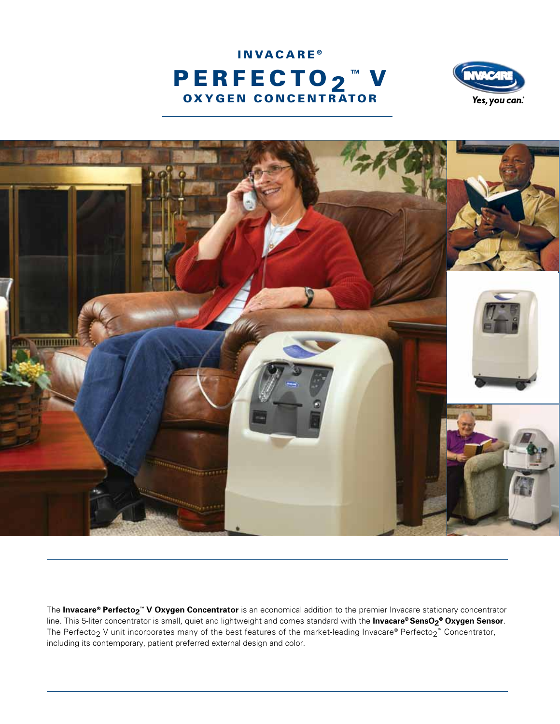





The **Invacare® Perfecto2 ™ V oxygen concentrator** is an economical addition to the premier Invacare stationary concentrator line. This 5-liter concentrator is small, quiet and lightweight and comes standard with the **Invacare® SensO2 ® Oxygen Sensor**. The Perfecto $_2$  V unit incorporates many of the best features of the market-leading Invacare® Perfecto $_2$ ™ Concentrator, including its contemporary, patient preferred external design and color.